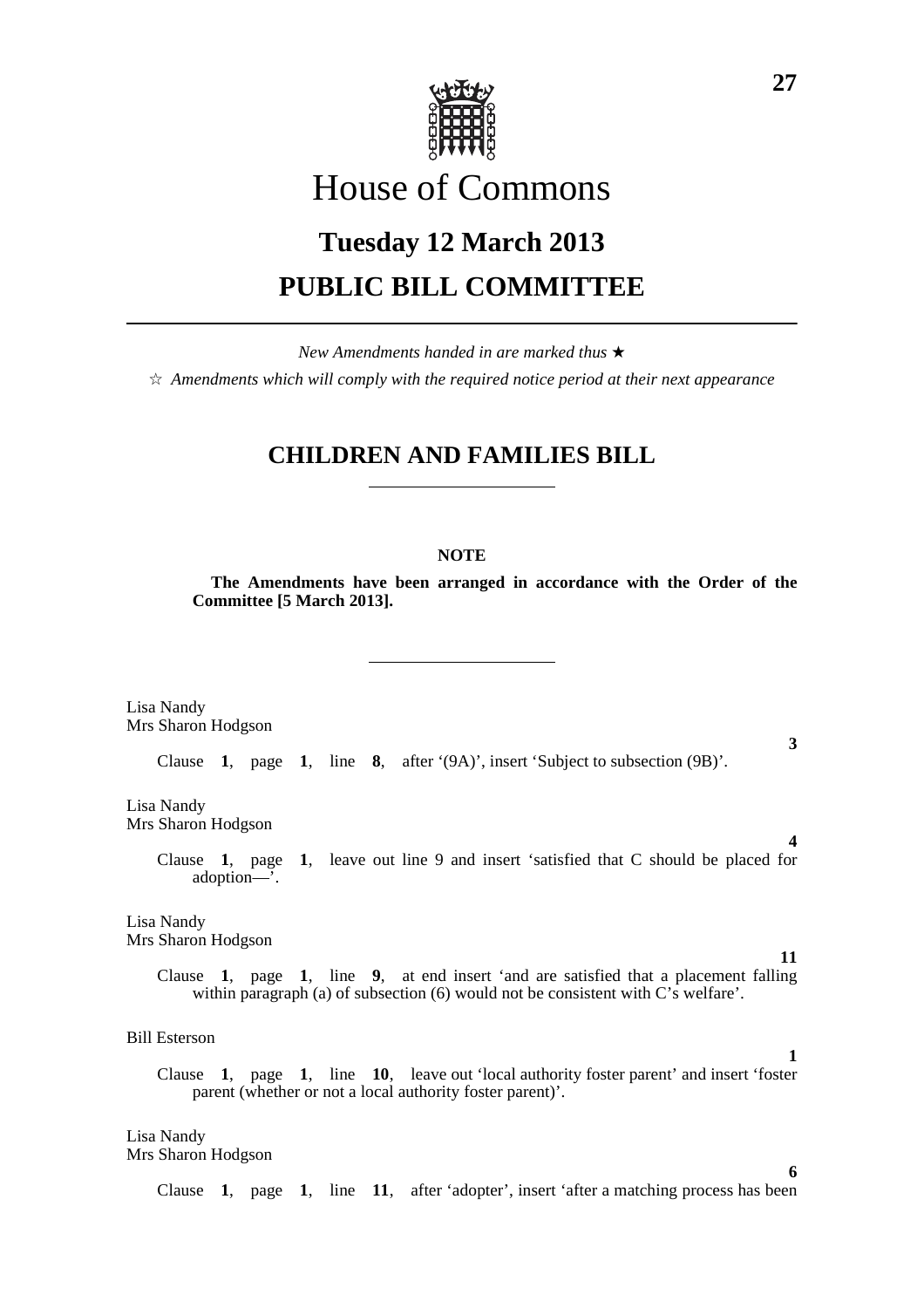

# House of Commons

# **Tuesday 12 March 2013 PUBLIC BILL COMMITTEE**

*New Amendments handed in are marked thus* \*  $\dot{\varphi}$  *Amendments which will comply with the required notice period at their next appearance* 

# **CHILDREN AND FAMILIES BILL**

# **NOTE**

**The Amendments have been arranged in accordance with the Order of the Committee [5 March 2013].**

Lisa Nandy Mrs Sharon Hodgson

Clause **1**, page **1**, line **8**, after '(9A)', insert 'Subject to subsection (9B)'.

Lisa Nandy Mrs Sharon Hodgson

> Clause **1**, page **1**, leave out line 9 and insert 'satisfied that C should be placed for adoption—'.

Lisa Nandy Mrs Sharon Hodgson

> Clause **1**, page **1**, line **9**, at end insert 'and are satisfied that a placement falling within paragraph (a) of subsection (6) would not be consistent with C's welfare'.

Bill Esterson

Clause **1**, page **1**, line **10**, leave out 'local authority foster parent' and insert 'foster parent (whether or not a local authority foster parent)'.

Lisa Nandy Mrs Sharon Hodgson

Clause **1**, page **1**, line **11**, after 'adopter', insert 'after a matching process has been

**3**

**4**

**11**

**1**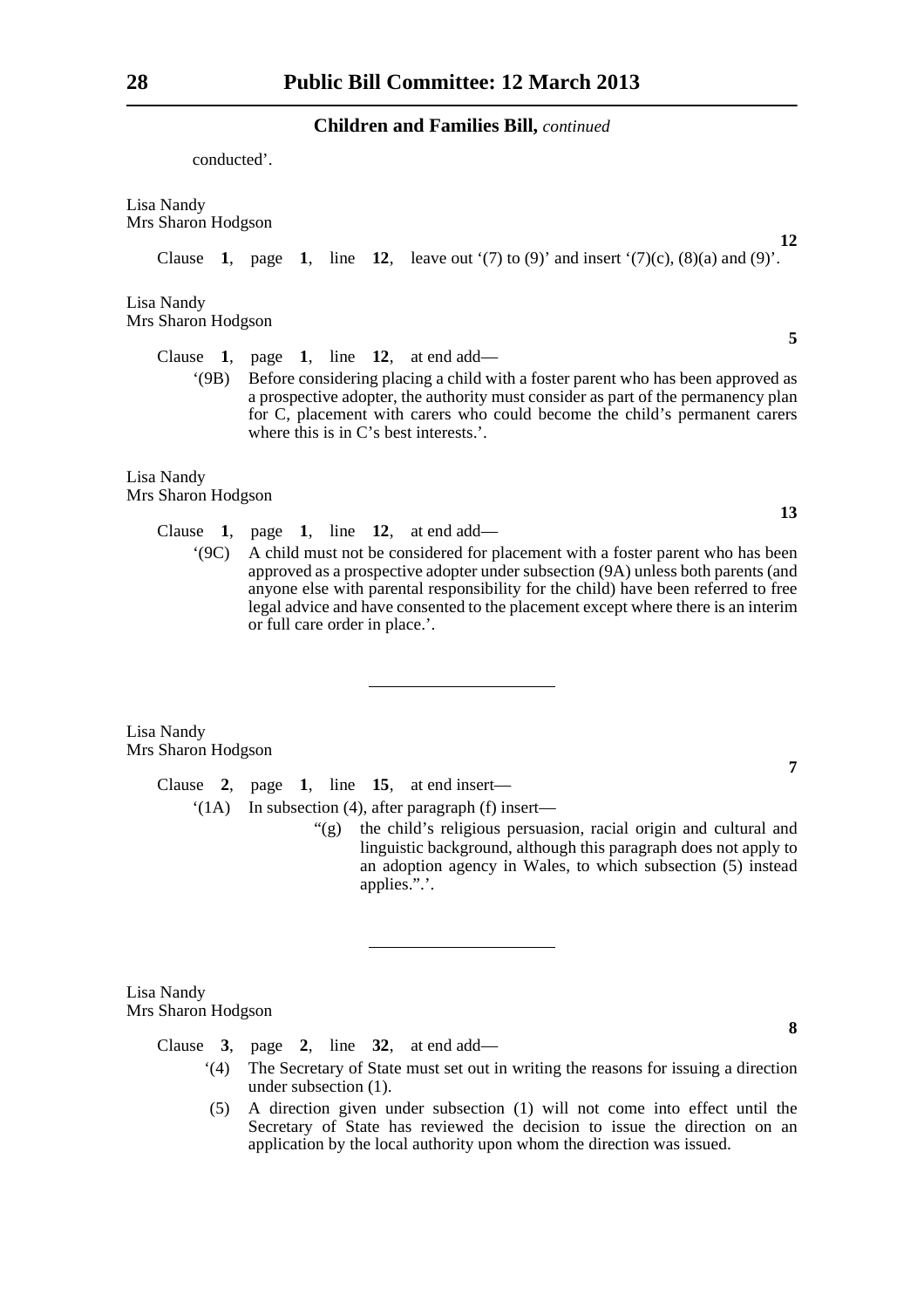conducted'.

Lisa Nandy Mrs Sharon Hodgson

Clause **1**, page **1**, line **12**, leave out '(7) to (9)' and insert '(7)(c), (8)(a) and (9)'.

Lisa Nandy Mrs Sharon Hodgson

Clause **1**, page **1**, line **12**, at end add—

'(9B) Before considering placing a child with a foster parent who has been approved as a prospective adopter, the authority must consider as part of the permanency plan for C, placement with carers who could become the child's permanent carers where this is in C's best interests.'.

# Lisa Nandy Mrs Sharon Hodgson

Clause **1**, page **1**, line **12**, at end add—

'(9C) A child must not be considered for placement with a foster parent who has been approved as a prospective adopter under subsection (9A) unless both parents (and anyone else with parental responsibility for the child) have been referred to free legal advice and have consented to the placement except where there is an interim or full care order in place.'.

Lisa Nandy Mrs Sharon Hodgson

> Clause **2**, page **1**, line **15**, at end insert— '(1A) In subsection (4), after paragraph (f) insert—

> > "(g) the child's religious persuasion, racial origin and cultural and linguistic background, although this paragraph does not apply to an adoption agency in Wales, to which subsection (5) instead applies.".'.

Lisa Nandy Mrs Sharon Hodgson

Clause **3**, page **2**, line **32**, at end add—

- '(4) The Secretary of State must set out in writing the reasons for issuing a direction under subsection (1).
- (5) A direction given under subsection (1) will not come into effect until the Secretary of State has reviewed the decision to issue the direction on an application by the local authority upon whom the direction was issued.

**5**

**12**

**13**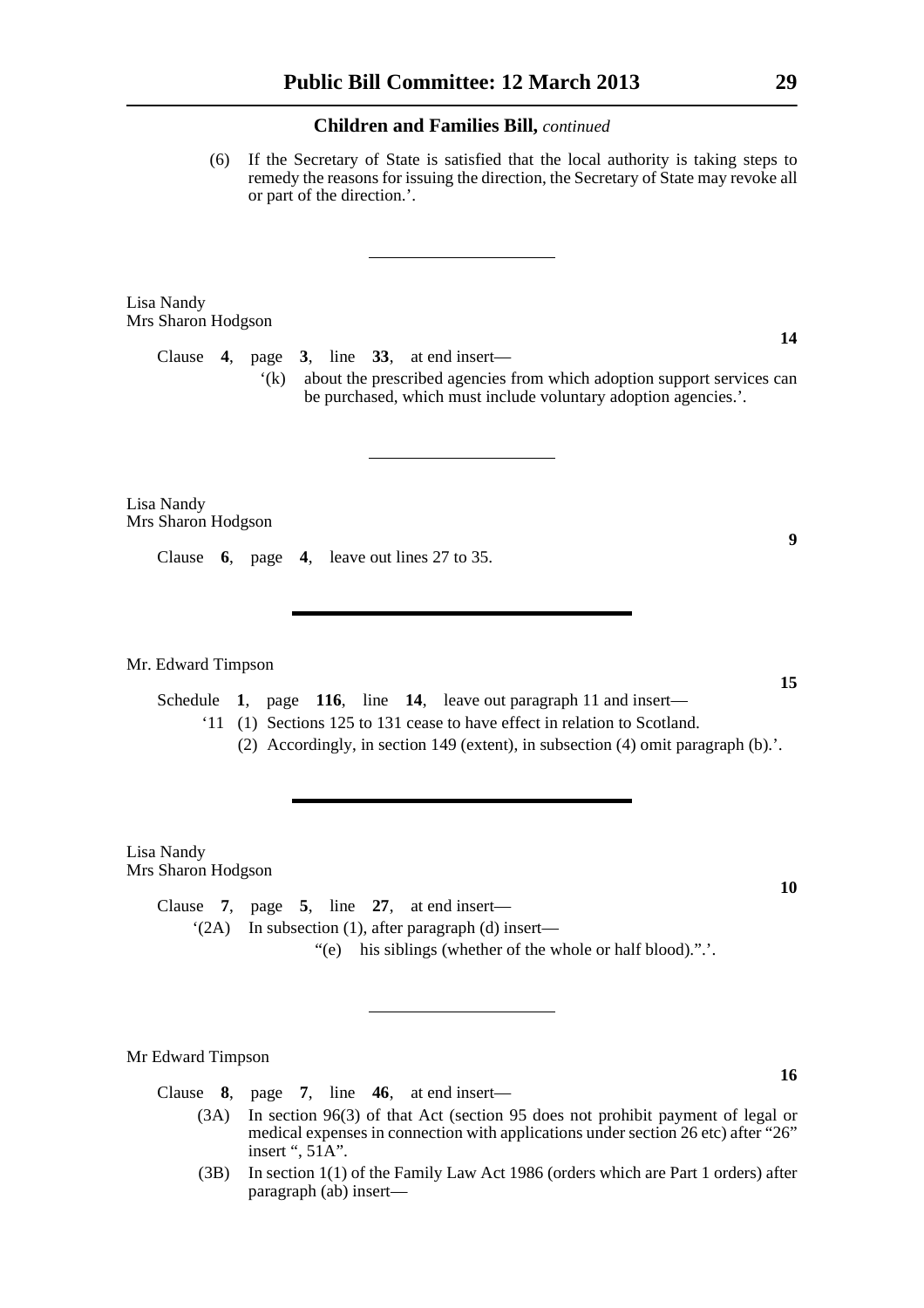(6) If the Secretary of State is satisfied that the local authority is taking steps to remedy the reasons for issuing the direction, the Secretary of State may revoke all or part of the direction.'.

Lisa Nandy Mrs Sharon Hodgson

> Clause **4**, page **3**, line **33**, at end insert— '(k) about the prescribed agencies from which adoption support services can be purchased, which must include voluntary adoption agencies.'.

Lisa Nandy Mrs Sharon Hodgson

Clause **6**, page **4**, leave out lines 27 to 35.

Mr. Edward Timpson

Schedule **1**, page **116**, line **14**, leave out paragraph 11 and insert—

'11 (1) Sections 125 to 131 cease to have effect in relation to Scotland.

(2) Accordingly, in section 149 (extent), in subsection (4) omit paragraph  $(b)$ .

Lisa Nandy Mrs Sharon Hodgson

> Clause **7**, page **5**, line **27**, at end insert— '(2A) In subsection (1), after paragraph (d) insert—

> > "(e) his siblings (whether of the whole or half blood).".'.

#### Mr Edward Timpson

Clause **8**, page **7**, line **46**, at end insert—

- (3A) In section 96(3) of that Act (section 95 does not prohibit payment of legal or medical expenses in connection with applications under section 26 etc) after "26" insert ", 51A".
- (3B) In section 1(1) of the Family Law Act 1986 (orders which are Part 1 orders) after paragraph (ab) insert—

**14**

**10**

**15**

**9**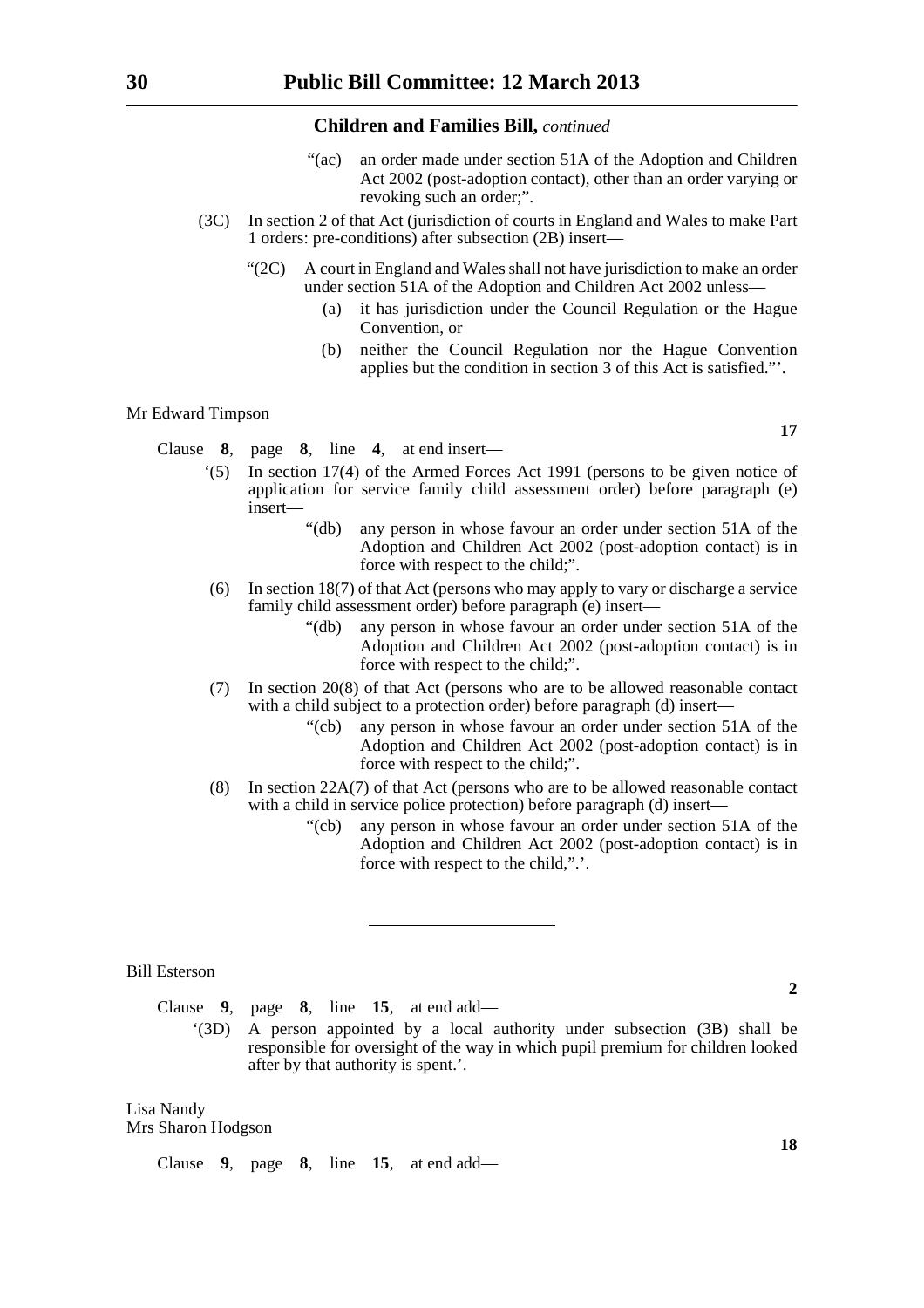- "(ac) an order made under section 51A of the Adoption and Children Act 2002 (post-adoption contact), other than an order varying or revoking such an order;".
- (3C) In section 2 of that Act (jurisdiction of courts in England and Wales to make Part 1 orders: pre-conditions) after subsection (2B) insert—
	- "(2C) A court in England and Wales shall not have jurisdiction to make an order under section 51A of the Adoption and Children Act 2002 unless—
		- (a) it has jurisdiction under the Council Regulation or the Hague Convention, or
		- (b) neither the Council Regulation nor the Hague Convention applies but the condition in section 3 of this Act is satisfied."'.

#### Mr Edward Timpson

Clause **8**, page **8**, line **4**, at end insert—

- '(5) In section 17(4) of the Armed Forces Act 1991 (persons to be given notice of application for service family child assessment order) before paragraph (e) insert—
	- "(db) any person in whose favour an order under section 51A of the Adoption and Children Act 2002 (post-adoption contact) is in force with respect to the child;".
- (6) In section 18(7) of that Act (persons who may apply to vary or discharge a service family child assessment order) before paragraph (e) insert—
	- "(db) any person in whose favour an order under section 51A of the Adoption and Children Act 2002 (post-adoption contact) is in force with respect to the child;".
- (7) In section 20(8) of that Act (persons who are to be allowed reasonable contact with a child subject to a protection order) before paragraph (d) insert—
	- "(cb) any person in whose favour an order under section 51A of the Adoption and Children Act 2002 (post-adoption contact) is in force with respect to the child;".
- (8) In section 22A(7) of that Act (persons who are to be allowed reasonable contact with a child in service police protection) before paragraph (d) insert—
	- "(cb) any person in whose favour an order under section 51A of the Adoption and Children Act 2002 (post-adoption contact) is in force with respect to the child,".'.

#### Bill Esterson

Clause **9**, page **8**, line **15**, at end add—

'(3D) A person appointed by a local authority under subsection (3B) shall be responsible for oversight of the way in which pupil premium for children looked after by that authority is spent.'.

#### Lisa Nandy Mrs Sharon Hodgson

Clause **9**, page **8**, line **15**, at end add—

**17**

**18**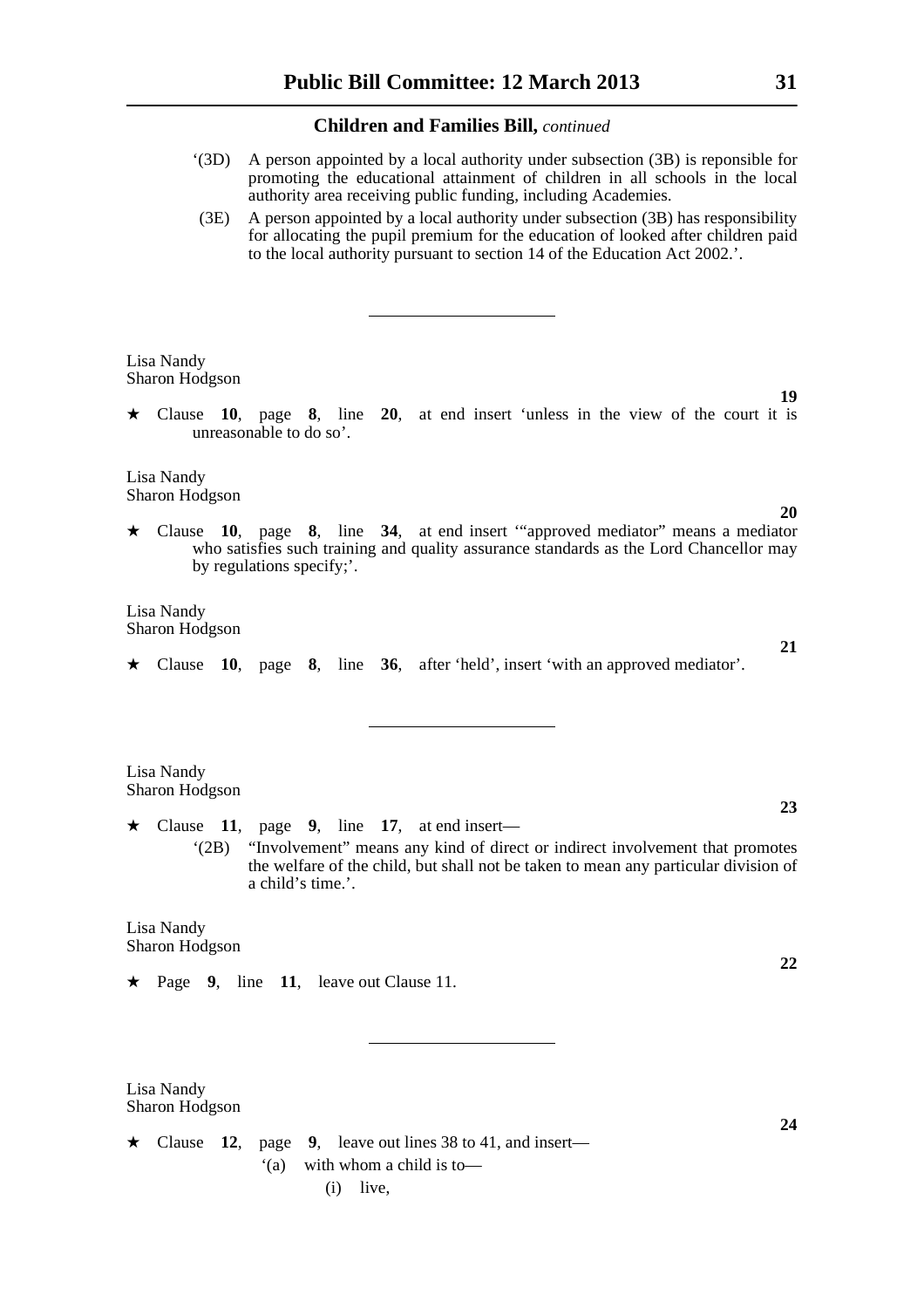- '(3D) A person appointed by a local authority under subsection (3B) is reponsible for promoting the educational attainment of children in all schools in the local authority area receiving public funding, including Academies.
- (3E) A person appointed by a local authority under subsection (3B) has responsibility for allocating the pupil premium for the education of looked after children paid to the local authority pursuant to section 14 of the Education Act 2002.'.

Lisa Nandy Sharon Hodgson

 $\star$  Clause 10, page 8, line 20, at end insert 'unless in the view of the court it is unreasonable to do so'.

Lisa Nandy Sharon Hodgson

\* Clause **10**, page **8**, line **34**, at end insert '"approved mediator" means a mediator who satisfies such training and quality assurance standards as the Lord Chancellor may by regulations specify;'.

Lisa Nandy Sharon Hodgson

\* Clause **10**, page **8**, line **36**, after 'held', insert 'with an approved mediator'.

Lisa Nandy Sharon Hodgson

 $\star$  Clause 11, page 9, line 17, at end insert— '(2B) "Involvement" means any kind of direct or indirect involvement that promotes the welfare of the child, but shall not be taken to mean any particular division of a child's time.'.

Lisa Nandy Sharon Hodgson

Lisa Nandy

 $\star$  Page 9, line 11, leave out Clause 11.

Sharon Hodgson  $\star$  Clause 12, page 9, leave out lines 38 to 41, and insert— '(a) with whom a child is to**22**

**24**

**21**

**23**

**20**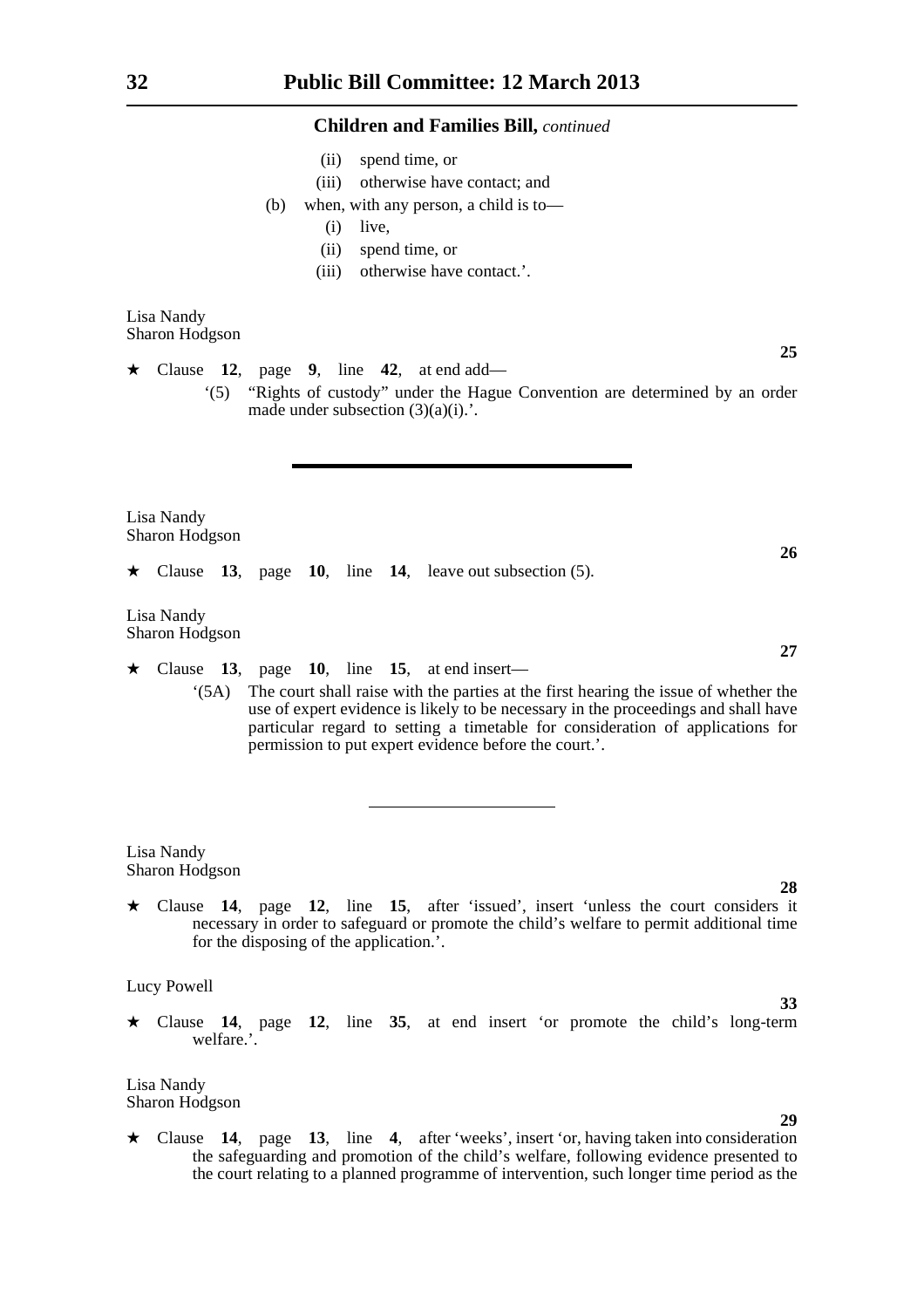- (ii) spend time, or
- (iii) otherwise have contact; and
- (b) when, with any person, a child is to—
	- (i) live,
	- (ii) spend time, or
	- (iii) otherwise have contact.'.

Lisa Nandy Sharon Hodgson

 $\star$  Clause 12, page 9, line 42, at end add—

'(5) "Rights of custody" under the Hague Convention are determined by an order made under subsection  $(3)(a)(i)$ .

Lisa Nandy Sharon Hodgson

 $\star$  Clause 13, page 10, line 14, leave out subsection (5).

Lisa Nandy Sharon Hodgson

- $\star$  Clause 13, page 10, line 15, at end insert—
	- '(5A) The court shall raise with the parties at the first hearing the issue of whether the use of expert evidence is likely to be necessary in the proceedings and shall have particular regard to setting a timetable for consideration of applications for permission to put expert evidence before the court.'.

Lisa Nandy Sharon Hodgson

\* Clause **14**, page **12**, line **15**, after 'issued', insert 'unless the court considers it necessary in order to safeguard or promote the child's welfare to permit additional time for the disposing of the application.'.

Lucy Powell

\* Clause **14**, page **12**, line **35**, at end insert 'or promote the child's long-term welfare.'.

Lisa Nandy Sharon Hodgson

- 
- \* Clause **14**, page **13**, line **4**, after 'weeks', insert 'or, having taken into consideration the safeguarding and promotion of the child's welfare, following evidence presented to the court relating to a planned programme of intervention, such longer time period as the

**27**

**26**

**25**

**33**

**29**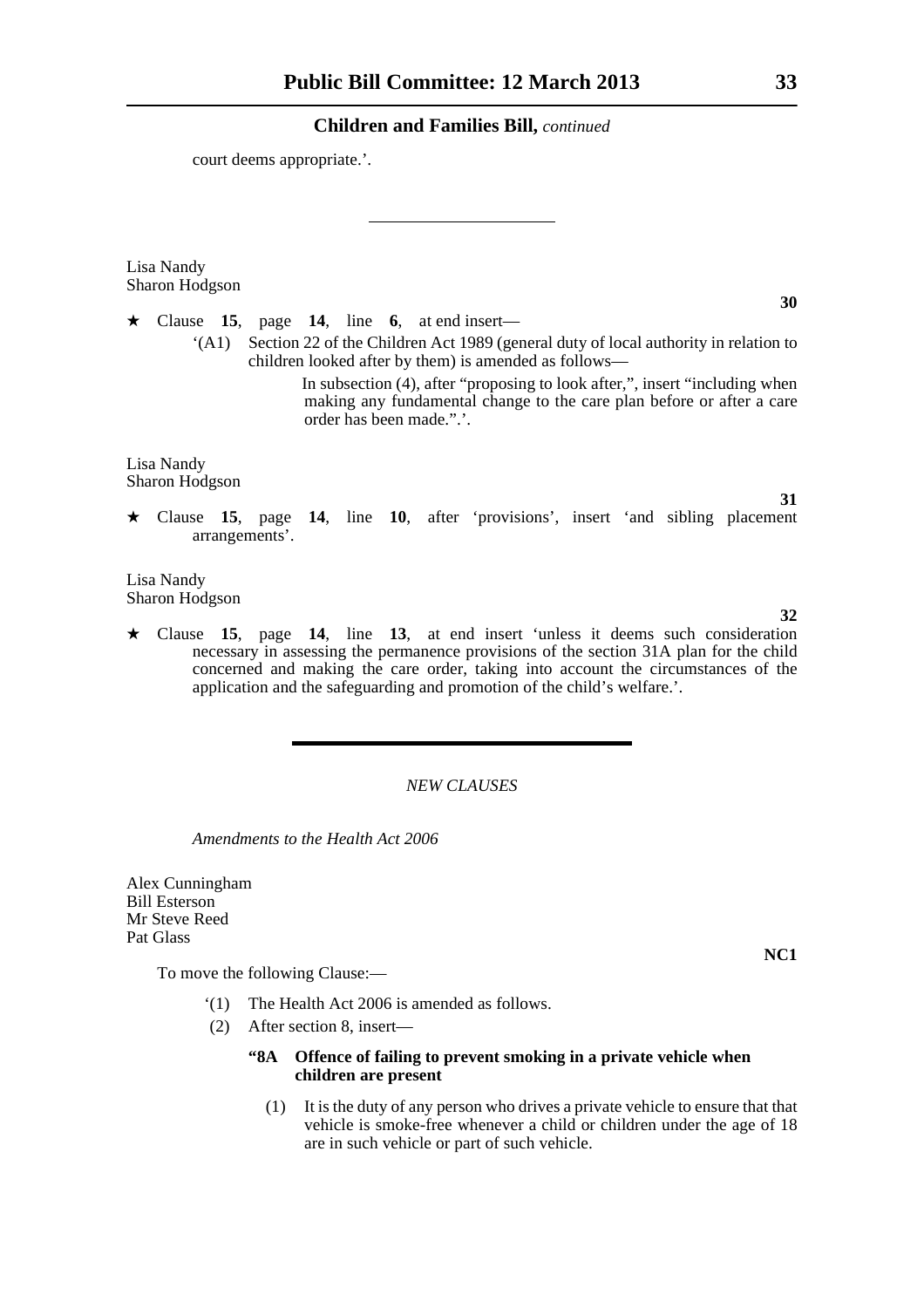court deems appropriate.'.

Lisa Nandy Sharon Hodgson

 $\star$  Clause 15, page 14, line 6, at end insert—

'(A1) Section 22 of the Children Act 1989 (general duty of local authority in relation to children looked after by them) is amended as follows—

> In subsection (4), after "proposing to look after,", insert "including when making any fundamental change to the care plan before or after a care order has been made.".'.

Lisa Nandy Sharon Hodgson

\* Clause **15**, page **14**, line **10**, after 'provisions', insert 'and sibling placement arrangements'.

Lisa Nandy Sharon Hodgson

\* Clause **15**, page **14**, line **13**, at end insert 'unless it deems such consideration necessary in assessing the permanence provisions of the section 31A plan for the child concerned and making the care order, taking into account the circumstances of the application and the safeguarding and promotion of the child's welfare.'.

# *NEW CLAUSES*

*Amendments to the Health Act 2006*

Alex Cunningham Bill Esterson Mr Steve Reed Pat Glass

To move the following Clause:—

- '(1) The Health Act 2006 is amended as follows.
- (2) After section 8, insert—

# **"8A Offence of failing to prevent smoking in a private vehicle when children are present**

(1) It is the duty of any person who drives a private vehicle to ensure that that vehicle is smoke-free whenever a child or children under the age of 18 are in such vehicle or part of such vehicle.

**31**

# **32**

**NC1**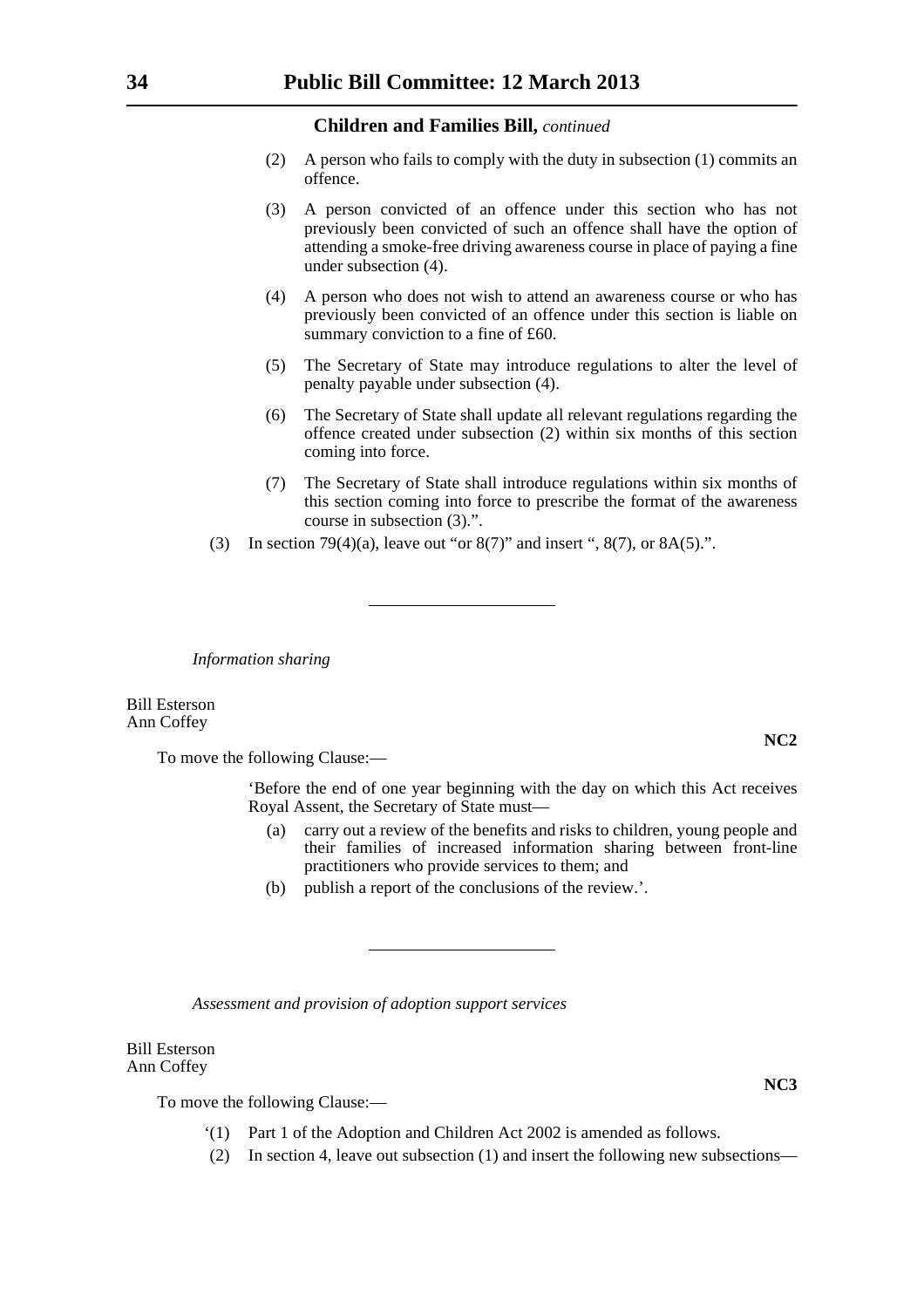- (2) A person who fails to comply with the duty in subsection (1) commits an offence.
- (3) A person convicted of an offence under this section who has not previously been convicted of such an offence shall have the option of attending a smoke-free driving awareness course in place of paying a fine under subsection (4).
- (4) A person who does not wish to attend an awareness course or who has previously been convicted of an offence under this section is liable on summary conviction to a fine of £60.
- (5) The Secretary of State may introduce regulations to alter the level of penalty payable under subsection (4).
- (6) The Secretary of State shall update all relevant regulations regarding the offence created under subsection (2) within six months of this section coming into force.
- (7) The Secretary of State shall introduce regulations within six months of this section coming into force to prescribe the format of the awareness course in subsection (3).".
- (3) In section 79(4)(a), leave out "or  $8(7)$ " and insert ",  $8(7)$ , or  $8A(5)$ .".

*Information sharing*

Bill Esterson Ann Coffey

To move the following Clause:—

'Before the end of one year beginning with the day on which this Act receives Royal Assent, the Secretary of State must—

- (a) carry out a review of the benefits and risks to children, young people and their families of increased information sharing between front-line practitioners who provide services to them; and
- (b) publish a report of the conclusions of the review.'.

*Assessment and provision of adoption support services*

# Bill Esterson Ann Coffey

To move the following Clause:—

- '(1) Part 1 of the Adoption and Children Act 2002 is amended as follows.
- (2) In section 4, leave out subsection (1) and insert the following new subsections—

**NC2**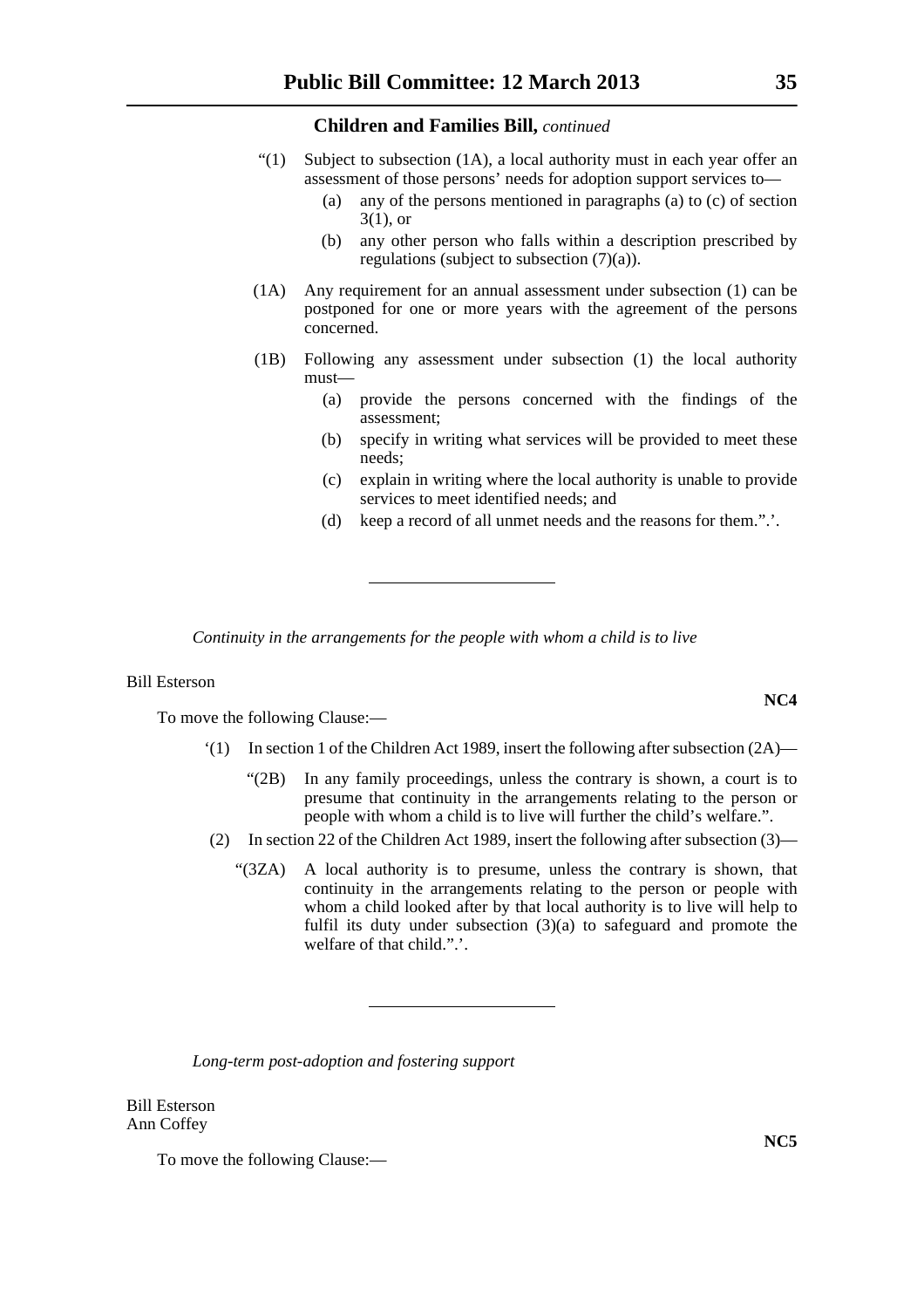- "(1) Subject to subsection (1A), a local authority must in each year offer an assessment of those persons' needs for adoption support services to—
	- (a) any of the persons mentioned in paragraphs (a) to (c) of section 3(1), or
	- (b) any other person who falls within a description prescribed by regulations (subject to subsection (7)(a)).
- (1A) Any requirement for an annual assessment under subsection (1) can be postponed for one or more years with the agreement of the persons concerned.
- (1B) Following any assessment under subsection (1) the local authority must—
	- (a) provide the persons concerned with the findings of the assessment;
	- (b) specify in writing what services will be provided to meet these needs;
	- (c) explain in writing where the local authority is unable to provide services to meet identified needs; and
	- (d) keep a record of all unmet needs and the reasons for them.".'.

*Continuity in the arrangements for the people with whom a child is to live*

# Bill Esterson

To move the following Clause:—

- '(1) In section 1 of the Children Act 1989, insert the following after subsection (2A)—
	- "(2B) In any family proceedings, unless the contrary is shown, a court is to presume that continuity in the arrangements relating to the person or people with whom a child is to live will further the child's welfare.".
- (2) In section 22 of the Children Act 1989, insert the following after subsection (3)—
	- "(3ZA) A local authority is to presume, unless the contrary is shown, that continuity in the arrangements relating to the person or people with whom a child looked after by that local authority is to live will help to fulfil its duty under subsection (3)(a) to safeguard and promote the welfare of that child.".'.

*Long-term post-adoption and fostering support*

Bill Esterson Ann Coffey

To move the following Clause:—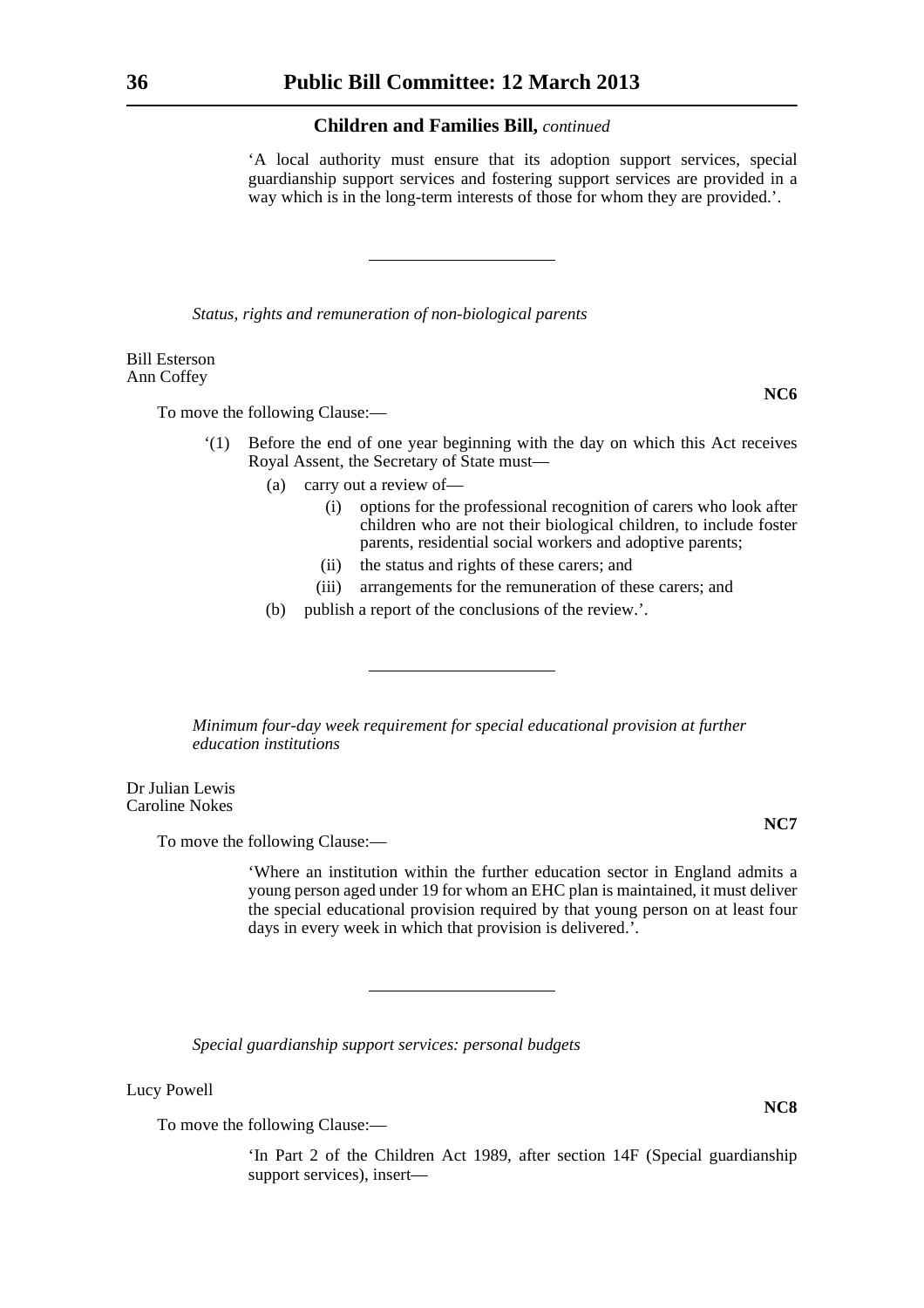'A local authority must ensure that its adoption support services, special guardianship support services and fostering support services are provided in a way which is in the long-term interests of those for whom they are provided.'.

*Status, rights and remuneration of non-biological parents*

Bill Esterson Ann Coffey

To move the following Clause:—

- '(1) Before the end of one year beginning with the day on which this Act receives Royal Assent, the Secretary of State must—
	- (a) carry out a review of—
		- (i) options for the professional recognition of carers who look after children who are not their biological children, to include foster parents, residential social workers and adoptive parents;
		- (ii) the status and rights of these carers; and
		- (iii) arrangements for the remuneration of these carers; and
	- (b) publish a report of the conclusions of the review.'.

*Minimum four-day week requirement for special educational provision at further education institutions*

Dr Julian Lewis Caroline Nokes

To move the following Clause:—

'Where an institution within the further education sector in England admits a young person aged under 19 for whom an EHC plan is maintained, it must deliver the special educational provision required by that young person on at least four days in every week in which that provision is delivered.'.

*Special guardianship support services: personal budgets*

Lucy Powell

To move the following Clause:—

'In Part 2 of the Children Act 1989, after section 14F (Special guardianship support services), insert—

**NC7**

**NC6**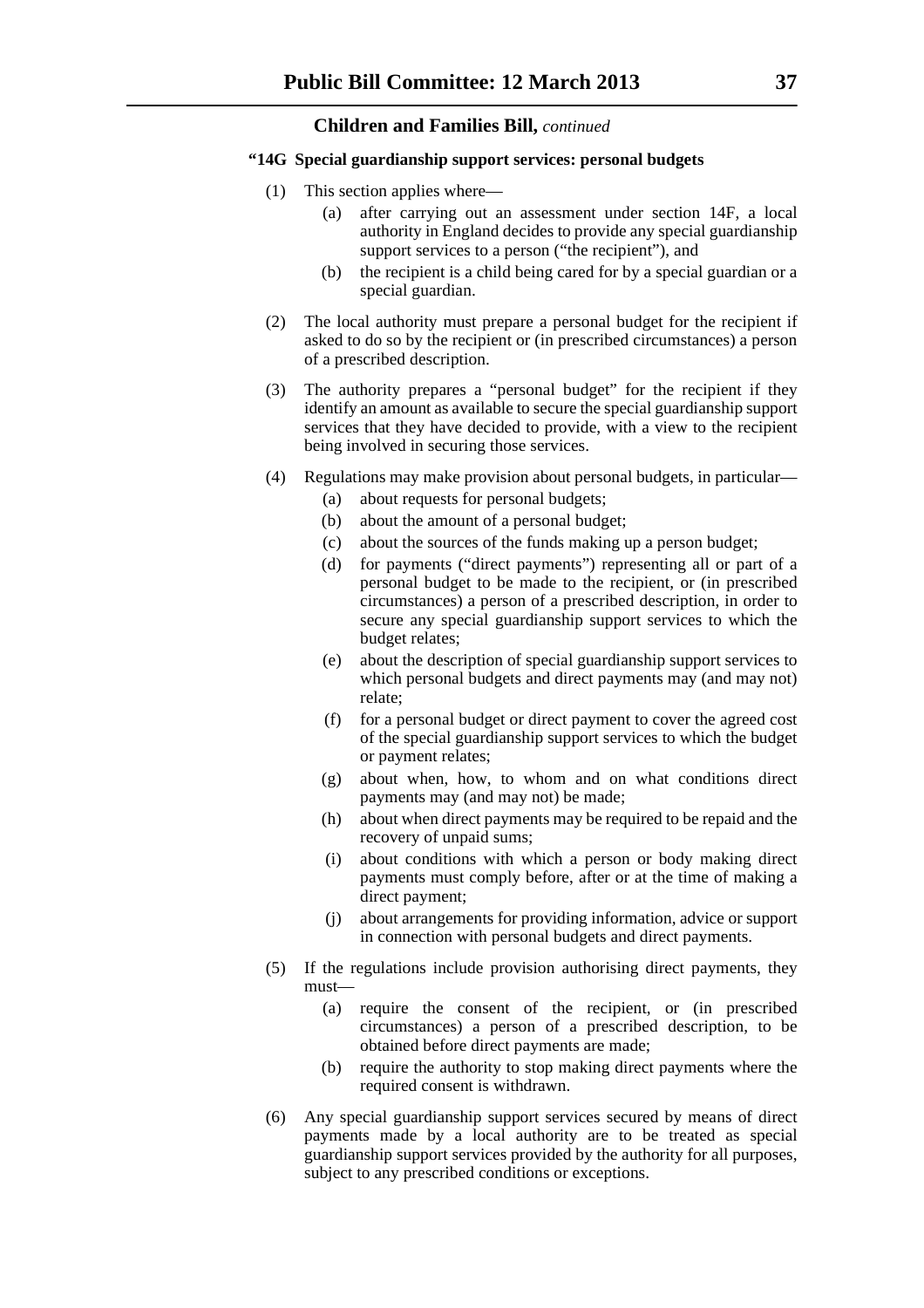# **"14G Special guardianship support services: personal budgets**

- (1) This section applies where—
	- (a) after carrying out an assessment under section 14F, a local authority in England decides to provide any special guardianship support services to a person ("the recipient"), and
	- (b) the recipient is a child being cared for by a special guardian or a special guardian.
- (2) The local authority must prepare a personal budget for the recipient if asked to do so by the recipient or (in prescribed circumstances) a person of a prescribed description.
- (3) The authority prepares a "personal budget" for the recipient if they identify an amount as available to secure the special guardianship support services that they have decided to provide, with a view to the recipient being involved in securing those services.
- (4) Regulations may make provision about personal budgets, in particular—
	- (a) about requests for personal budgets;
	- (b) about the amount of a personal budget;
	- (c) about the sources of the funds making up a person budget;
	- (d) for payments ("direct payments") representing all or part of a personal budget to be made to the recipient, or (in prescribed circumstances) a person of a prescribed description, in order to secure any special guardianship support services to which the budget relates;
	- (e) about the description of special guardianship support services to which personal budgets and direct payments may (and may not) relate;
	- (f) for a personal budget or direct payment to cover the agreed cost of the special guardianship support services to which the budget or payment relates;
	- (g) about when, how, to whom and on what conditions direct payments may (and may not) be made;
	- (h) about when direct payments may be required to be repaid and the recovery of unpaid sums;
	- (i) about conditions with which a person or body making direct payments must comply before, after or at the time of making a direct payment;
	- (j) about arrangements for providing information, advice or support in connection with personal budgets and direct payments.
- (5) If the regulations include provision authorising direct payments, they must—
	- (a) require the consent of the recipient, or (in prescribed circumstances) a person of a prescribed description, to be obtained before direct payments are made;
	- (b) require the authority to stop making direct payments where the required consent is withdrawn.
- (6) Any special guardianship support services secured by means of direct payments made by a local authority are to be treated as special guardianship support services provided by the authority for all purposes, subject to any prescribed conditions or exceptions.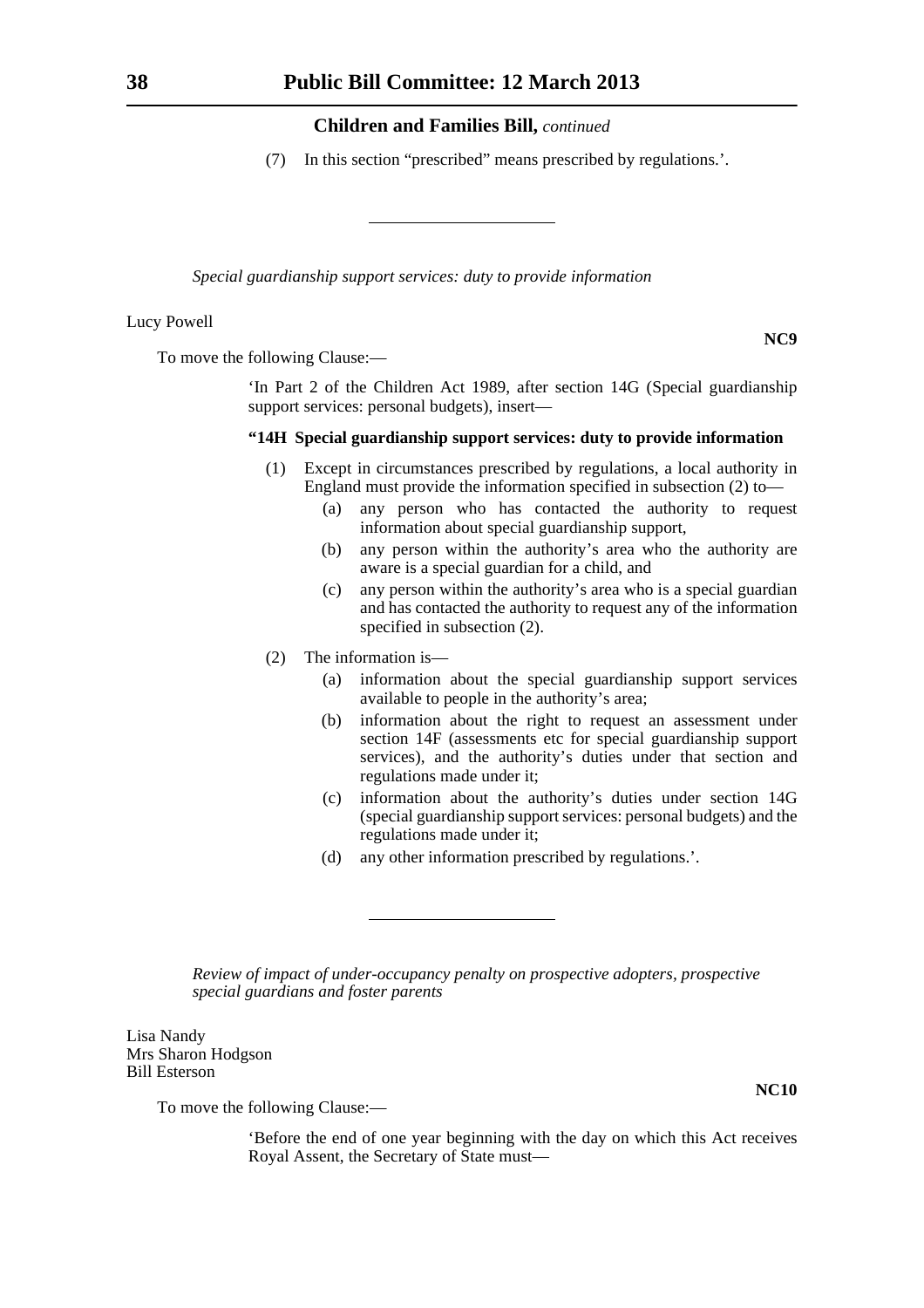(7) In this section "prescribed" means prescribed by regulations.'.

*Special guardianship support services: duty to provide information*

Lucy Powell

**NC9**

To move the following Clause:—

'In Part 2 of the Children Act 1989, after section 14G (Special guardianship support services: personal budgets), insert—

# **"14H Special guardianship support services: duty to provide information**

- (1) Except in circumstances prescribed by regulations, a local authority in England must provide the information specified in subsection (2) to—
	- (a) any person who has contacted the authority to request information about special guardianship support,
	- (b) any person within the authority's area who the authority are aware is a special guardian for a child, and
	- (c) any person within the authority's area who is a special guardian and has contacted the authority to request any of the information specified in subsection (2).
- (2) The information is—
	- (a) information about the special guardianship support services available to people in the authority's area;
	- (b) information about the right to request an assessment under section 14F (assessments etc for special guardianship support services), and the authority's duties under that section and regulations made under it;
	- (c) information about the authority's duties under section 14G (special guardianship support services: personal budgets) and the regulations made under it;
	- (d) any other information prescribed by regulations.'.

*Review of impact of under-occupancy penalty on prospective adopters, prospective special guardians and foster parents*

Lisa Nandy Mrs Sharon Hodgson Bill Esterson

To move the following Clause:—

'Before the end of one year beginning with the day on which this Act receives Royal Assent, the Secretary of State must—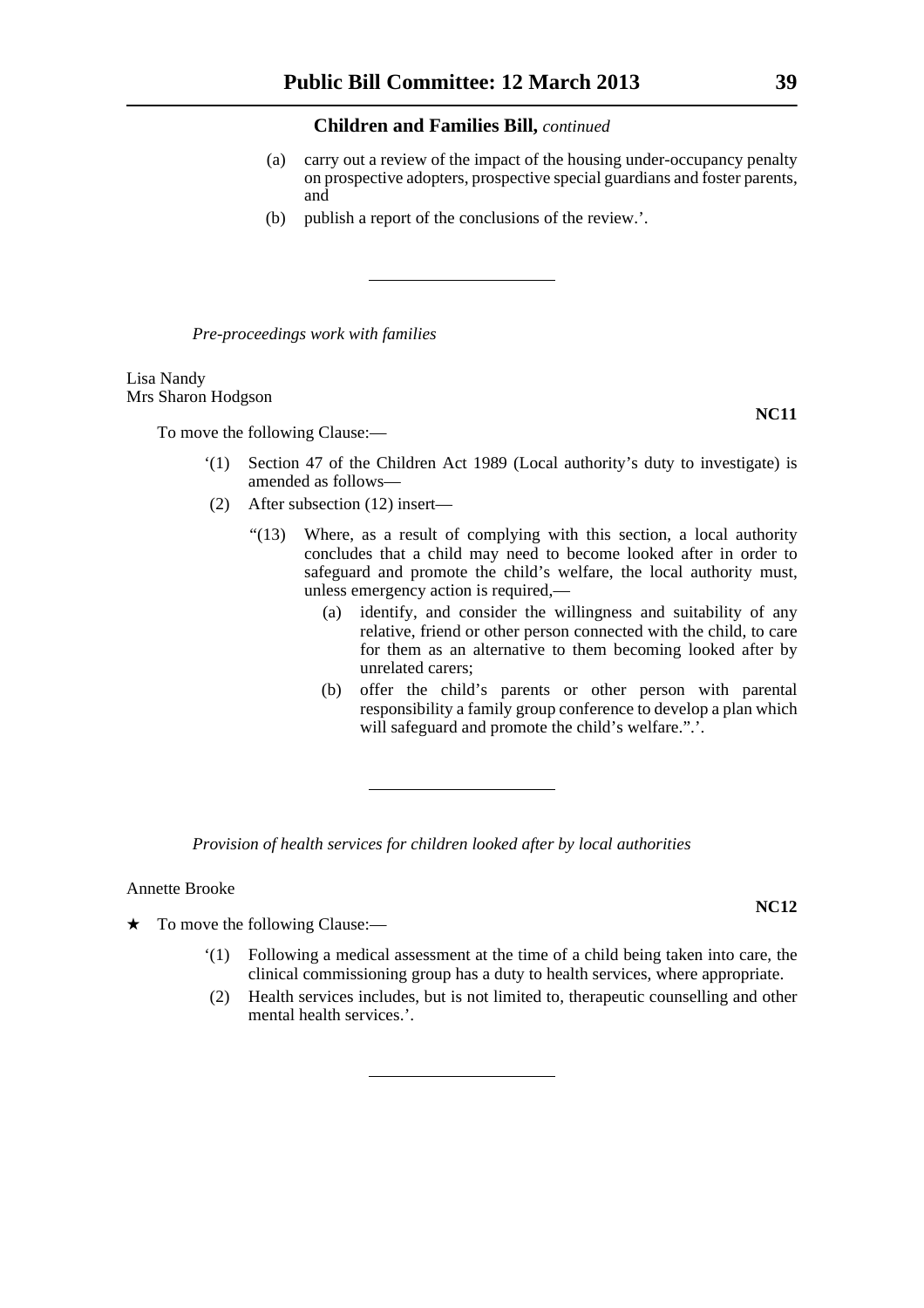- (a) carry out a review of the impact of the housing under-occupancy penalty on prospective adopters, prospective special guardians and foster parents, and
- (b) publish a report of the conclusions of the review.'.

*Pre-proceedings work with families*

Lisa Nandy Mrs Sharon Hodgson

To move the following Clause:—

- '(1) Section 47 of the Children Act 1989 (Local authority's duty to investigate) is amended as follows—
- (2) After subsection (12) insert—
	- "(13) Where, as a result of complying with this section, a local authority concludes that a child may need to become looked after in order to safeguard and promote the child's welfare, the local authority must, unless emergency action is required,—
		- (a) identify, and consider the willingness and suitability of any relative, friend or other person connected with the child, to care for them as an alternative to them becoming looked after by unrelated carers;
		- (b) offer the child's parents or other person with parental responsibility a family group conference to develop a plan which will safeguard and promote the child's welfare.".'.

*Provision of health services for children looked after by local authorities*

Annette Brooke

- $\star$  To move the following Clause:—
	- '(1) Following a medical assessment at the time of a child being taken into care, the clinical commissioning group has a duty to health services, where appropriate.
	- (2) Health services includes, but is not limited to, therapeutic counselling and other mental health services.'.

**NC11**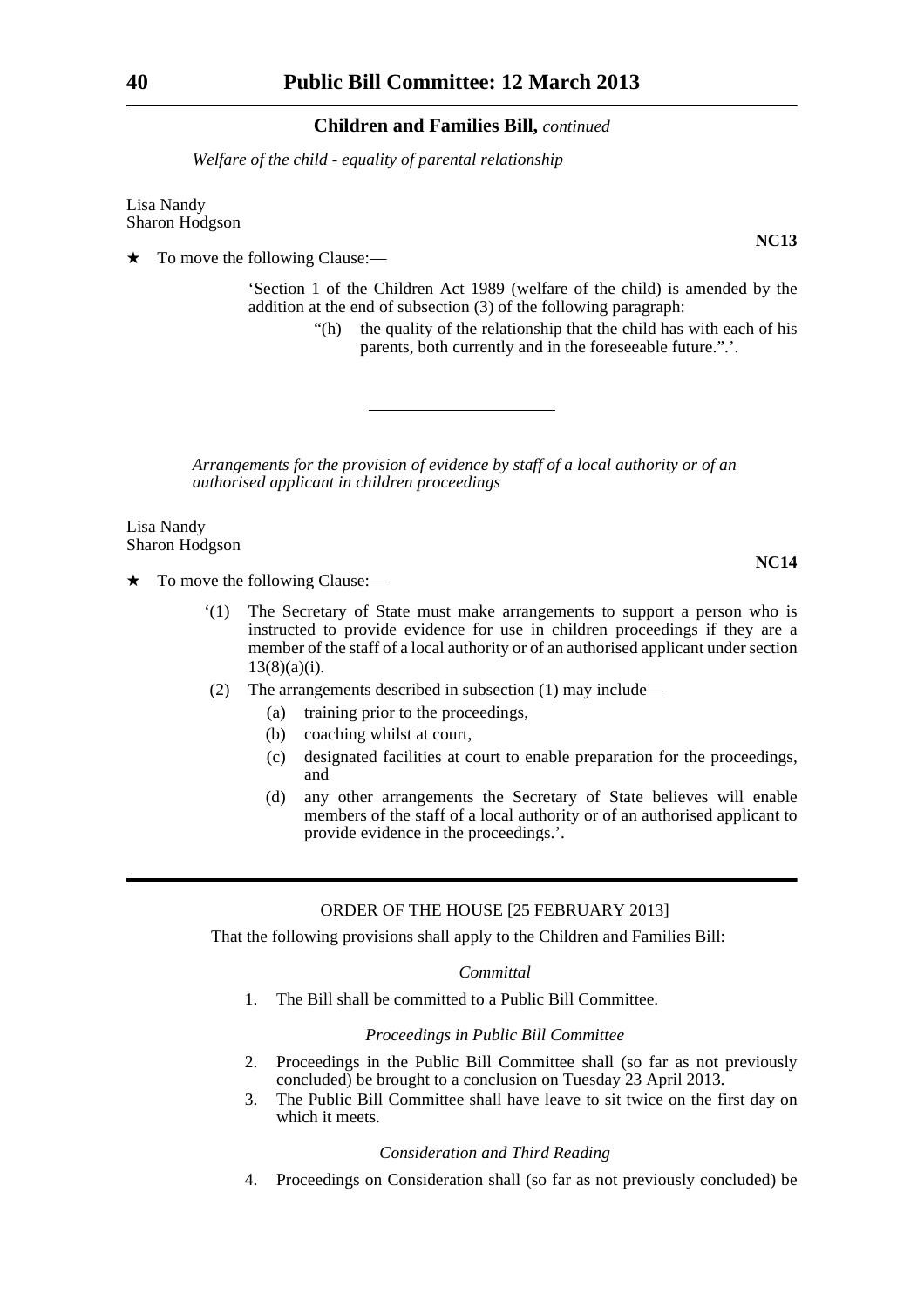*Welfare of the child - equality of parental relationship*

Lisa Nandy Sharon Hodgson

To move the following Clause:—

'Section 1 of the Children Act 1989 (welfare of the child) is amended by the addition at the end of subsection (3) of the following paragraph:

> "(h) the quality of the relationship that the child has with each of his parents, both currently and in the foreseeable future.".'.

*Arrangements for the provision of evidence by staff of a local authority or of an authorised applicant in children proceedings*

Lisa Nandy Sharon Hodgson

- $\star$  To move the following Clause:—
	- '(1) The Secretary of State must make arrangements to support a person who is instructed to provide evidence for use in children proceedings if they are a member of the staff of a local authority or of an authorised applicant under section  $13(8)(a)(i)$ .
	- (2) The arrangements described in subsection (1) may include—
		- (a) training prior to the proceedings,
		- (b) coaching whilst at court,
		- (c) designated facilities at court to enable preparation for the proceedings, and
		- (d) any other arrangements the Secretary of State believes will enable members of the staff of a local authority or of an authorised applicant to provide evidence in the proceedings.'.

#### ORDER OF THE HOUSE [25 FEBRUARY 2013]

That the following provisions shall apply to the Children and Families Bill:

#### *Committal*

1. The Bill shall be committed to a Public Bill Committee.

## *Proceedings in Public Bill Committee*

- 2. Proceedings in the Public Bill Committee shall (so far as not previously concluded) be brought to a conclusion on Tuesday 23 April 2013.
- 3. The Public Bill Committee shall have leave to sit twice on the first day on which it meets

#### *Consideration and Third Reading*

4. Proceedings on Consideration shall (so far as not previously concluded) be

**NC13**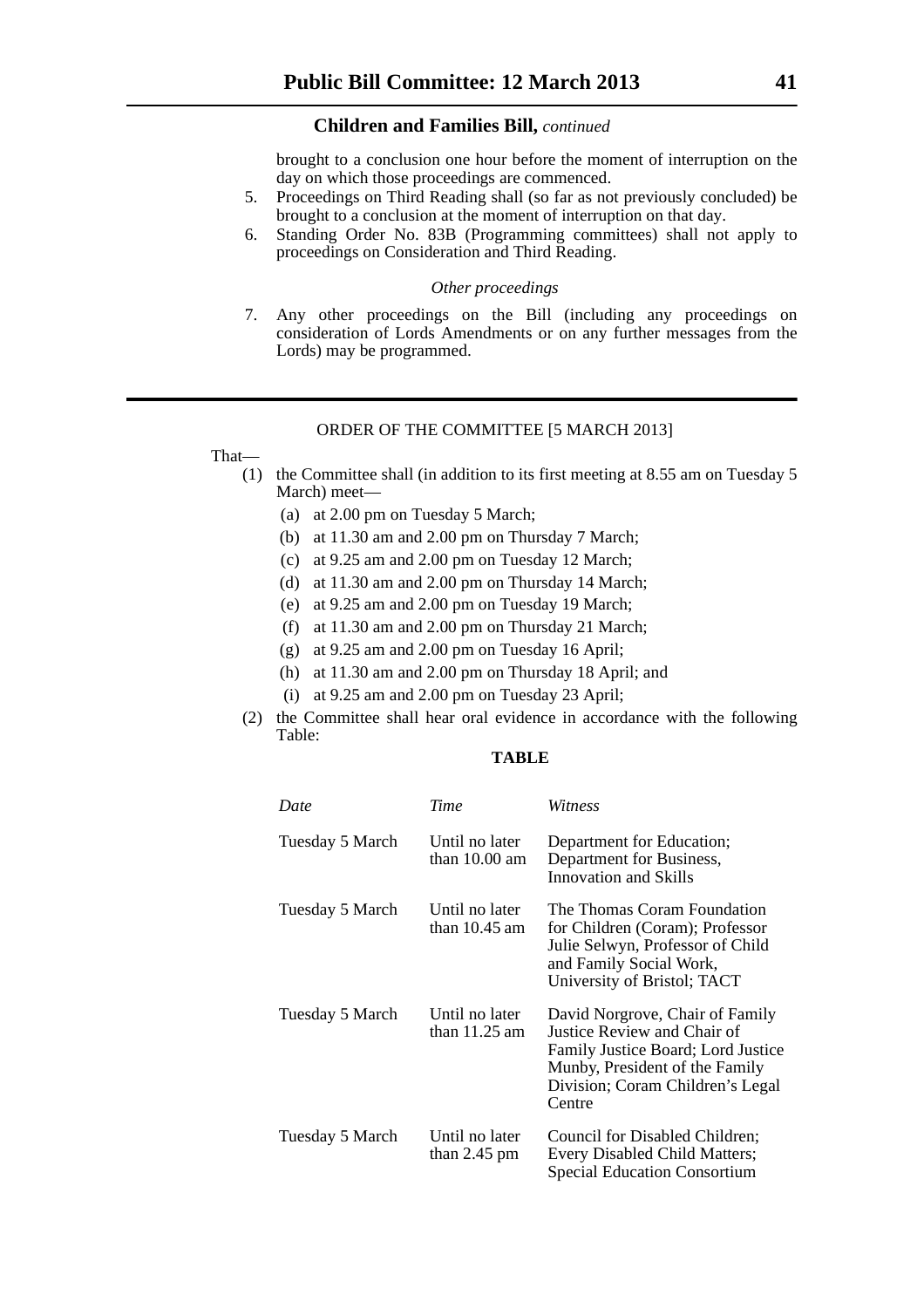brought to a conclusion one hour before the moment of interruption on the day on which those proceedings are commenced.

- 5. Proceedings on Third Reading shall (so far as not previously concluded) be brought to a conclusion at the moment of interruption on that day.
- 6. Standing Order No. 83B (Programming committees) shall not apply to proceedings on Consideration and Third Reading.

#### *Other proceedings*

7. Any other proceedings on the Bill (including any proceedings on consideration of Lords Amendments or on any further messages from the Lords) may be programmed.

# ORDER OF THE COMMITTEE [5 MARCH 2013]

That—

- (1) the Committee shall (in addition to its first meeting at 8.55 am on Tuesday 5 March) meet—
	- (a) at 2.00 pm on Tuesday 5 March;
	- (b) at 11.30 am and 2.00 pm on Thursday 7 March;
	- (c) at 9.25 am and 2.00 pm on Tuesday 12 March;
	- (d) at 11.30 am and 2.00 pm on Thursday 14 March;
	- (e) at 9.25 am and 2.00 pm on Tuesday 19 March;
	- (f) at 11.30 am and 2.00 pm on Thursday 21 March;
	- (g) at 9.25 am and 2.00 pm on Tuesday 16 April;
	- (h) at 11.30 am and 2.00 pm on Thursday 18 April; and
	- (i) at 9.25 am and 2.00 pm on Tuesday 23 April;
- (2) the Committee shall hear oral evidence in accordance with the following Table:

# **TABLE**

| Date            | <b>Time</b>                       | Witness                                                                                                                                                                              |
|-----------------|-----------------------------------|--------------------------------------------------------------------------------------------------------------------------------------------------------------------------------------|
| Tuesday 5 March | Until no later<br>than $10.00$ am | Department for Education;<br>Department for Business,<br>Innovation and Skills                                                                                                       |
| Tuesday 5 March | Until no later<br>than $10.45$ am | The Thomas Coram Foundation<br>for Children (Coram); Professor<br>Julie Selwyn, Professor of Child<br>and Family Social Work,<br>University of Bristol; TACT                         |
| Tuesday 5 March | Until no later<br>than $11.25$ am | David Norgrove, Chair of Family<br>Justice Review and Chair of<br>Family Justice Board; Lord Justice<br>Munby, President of the Family<br>Division; Coram Children's Legal<br>Centre |
| Tuesday 5 March | Until no later<br>than $2.45$ pm  | Council for Disabled Children;<br>Every Disabled Child Matters;<br><b>Special Education Consortium</b>                                                                               |